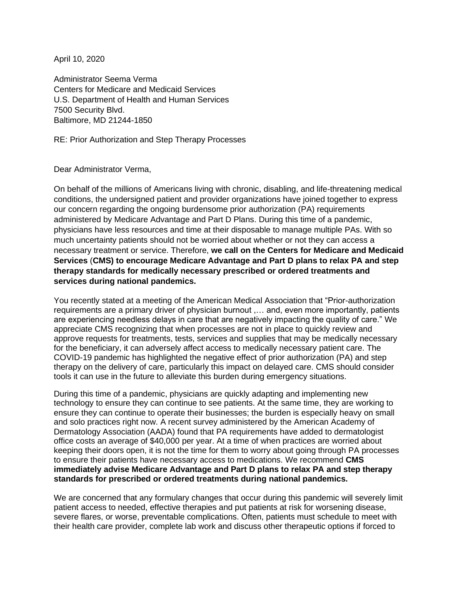April 10, 2020

Administrator Seema Verma Centers for Medicare and Medicaid Services U.S. Department of Health and Human Services 7500 Security Blvd. Baltimore, MD 21244-1850

RE: Prior Authorization and Step Therapy Processes

Dear Administrator Verma,

On behalf of the millions of Americans living with chronic, disabling, and life-threatening medical conditions, the undersigned patient and provider organizations have joined together to express our concern regarding the ongoing burdensome prior authorization (PA) requirements administered by Medicare Advantage and Part D Plans. During this time of a pandemic, physicians have less resources and time at their disposable to manage multiple PAs. With so much uncertainty patients should not be worried about whether or not they can access a necessary treatment or service. Therefore, **we call on the Centers for Medicare and Medicaid Services** (**CMS) to encourage Medicare Advantage and Part D plans to relax PA and step therapy standards for medically necessary prescribed or ordered treatments and services during national pandemics.**

You recently stated at a meeting of the American Medical Association that "Prior-authorization requirements are a primary driver of physician burnout ,… and, even more importantly, patients are experiencing needless delays in care that are negatively impacting the quality of care." We appreciate CMS recognizing that when processes are not in place to quickly review and approve requests for treatments, tests, services and supplies that may be medically necessary for the beneficiary, it can adversely affect access to medically necessary patient care. The COVID-19 pandemic has highlighted the negative effect of prior authorization (PA) and step therapy on the delivery of care, particularly this impact on delayed care. CMS should consider tools it can use in the future to alleviate this burden during emergency situations.

During this time of a pandemic, physicians are quickly adapting and implementing new technology to ensure they can continue to see patients. At the same time, they are working to ensure they can continue to operate their businesses; the burden is especially heavy on small and solo practices right now. A recent survey administered by the American Academy of Dermatology Association (AADA) found that PA requirements have added to dermatologist office costs an average of \$40,000 per year. At a time of when practices are worried about keeping their doors open, it is not the time for them to worry about going through PA processes to ensure their patients have necessary access to medications. We recommend **CMS immediately advise Medicare Advantage and Part D plans to relax PA and step therapy standards for prescribed or ordered treatments during national pandemics.**

We are concerned that any formulary changes that occur during this pandemic will severely limit patient access to needed, effective therapies and put patients at risk for worsening disease, severe flares, or worse, preventable complications. Often, patients must schedule to meet with their health care provider, complete lab work and discuss other therapeutic options if forced to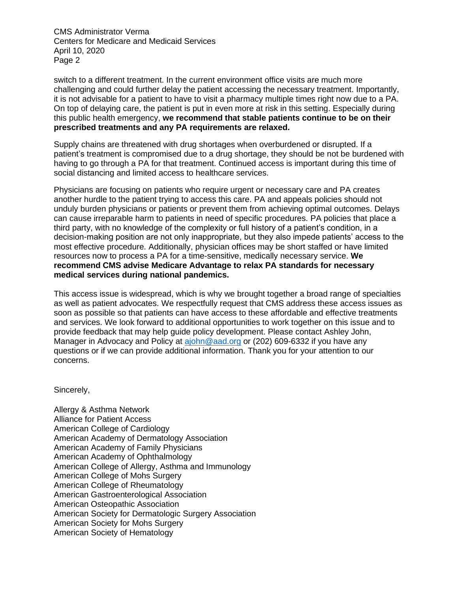CMS Administrator Verma Centers for Medicare and Medicaid Services April 10, 2020 Page 2

switch to a different treatment. In the current environment office visits are much more challenging and could further delay the patient accessing the necessary treatment. Importantly, it is not advisable for a patient to have to visit a pharmacy multiple times right now due to a PA. On top of delaying care, the patient is put in even more at risk in this setting. Especially during this public health emergency, **we recommend that stable patients continue to be on their prescribed treatments and any PA requirements are relaxed.** 

Supply chains are threatened with drug shortages when overburdened or disrupted. If a patient's treatment is compromised due to a drug shortage, they should be not be burdened with having to go through a PA for that treatment. Continued access is important during this time of social distancing and limited access to healthcare services.

Physicians are focusing on patients who require urgent or necessary care and PA creates another hurdle to the patient trying to access this care. PA and appeals policies should not unduly burden physicians or patients or prevent them from achieving optimal outcomes. Delays can cause irreparable harm to patients in need of specific procedures. PA policies that place a third party, with no knowledge of the complexity or full history of a patient's condition, in a decision-making position are not only inappropriate, but they also impede patients' access to the most effective procedure. Additionally, physician offices may be short staffed or have limited resources now to process a PA for a time-sensitive, medically necessary service. **We recommend CMS advise Medicare Advantage to relax PA standards for necessary medical services during national pandemics.**

This access issue is widespread, which is why we brought together a broad range of specialties as well as patient advocates. We respectfully request that CMS address these access issues as soon as possible so that patients can have access to these affordable and effective treatments and services. We look forward to additional opportunities to work together on this issue and to provide feedback that may help guide policy development. Please contact Ashley John, Manager in Advocacy and Policy at [ajohn@aad.org](mailto:ajohn@aad.org) or (202) 609-6332 if you have any questions or if we can provide additional information. Thank you for your attention to our concerns.

Sincerely,

Allergy & Asthma Network Alliance for Patient Access American College of Cardiology American Academy of Dermatology Association American Academy of Family Physicians American Academy of Ophthalmology American College of Allergy, Asthma and Immunology American College of Mohs Surgery American College of Rheumatology American Gastroenterological Association American Osteopathic Association American Society for Dermatologic Surgery Association American Society for Mohs Surgery American Society of Hematology